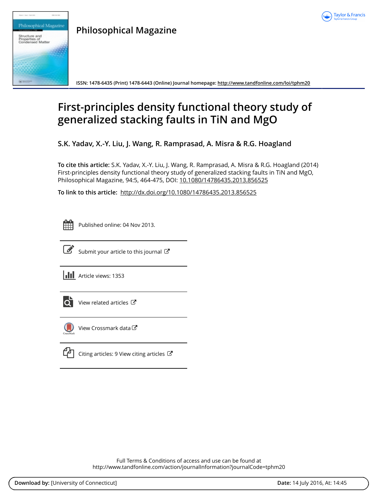



**Philosophical Magazine**

**ISSN: 1478-6435 (Print) 1478-6443 (Online) Journal homepage:<http://www.tandfonline.com/loi/tphm20>**

# **First-principles density functional theory study of generalized stacking faults in TiN and MgO**

**S.K. Yadav, X.-Y. Liu, J. Wang, R. Ramprasad, A. Misra & R.G. Hoagland**

**To cite this article:** S.K. Yadav, X.-Y. Liu, J. Wang, R. Ramprasad, A. Misra & R.G. Hoagland (2014) First-principles density functional theory study of generalized stacking faults in TiN and MgO, Philosophical Magazine, 94:5, 464-475, DOI: [10.1080/14786435.2013.856525](http://www.tandfonline.com/action/showCitFormats?doi=10.1080/14786435.2013.856525)

**To link to this article:** <http://dx.doi.org/10.1080/14786435.2013.856525>

| -<br>_<br><b>Service Service</b> |  |  |  |  |  |  |  |
|----------------------------------|--|--|--|--|--|--|--|
|                                  |  |  |  |  |  |  |  |
|                                  |  |  |  |  |  |  |  |
|                                  |  |  |  |  |  |  |  |

Published online: 04 Nov 2013.



 $\overrightarrow{S}$  [Submit your article to this journal](http://www.tandfonline.com/action/authorSubmission?journalCode=tphm20&page=instructions)  $\overrightarrow{S}$ 

**Article views: 1353** 



 $\bullet$  [View related articles](http://www.tandfonline.com/doi/mlt/10.1080/14786435.2013.856525)  $\sigma$ 



[View Crossmark data](http://crossmark.crossref.org/dialog/?doi=10.1080/14786435.2013.856525&domain=pdf&date_stamp=2013-11-04)



[Citing articles: 9 View citing articles](http://www.tandfonline.com/doi/citedby/10.1080/14786435.2013.856525#tabModule) 

Full Terms & Conditions of access and use can be found at <http://www.tandfonline.com/action/journalInformation?journalCode=tphm20>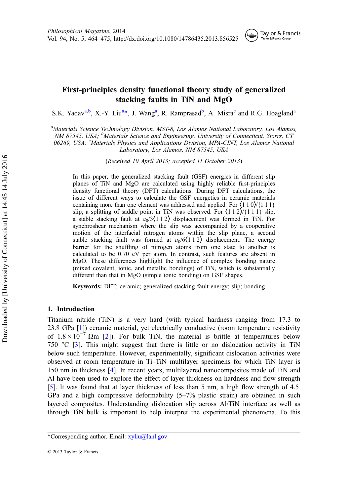

## <span id="page-1-0"></span>First-principles density functional theory study of generalized stacking faults in TiN and MgO

S.K. Yadav<sup>a,b</sup>, X.-Y. Liu<sup>a</sup>\*, J. Wang<sup>a</sup>, R. Ramprasad<sup>b</sup>, A. Misra<sup>c</sup> and R.G. Hoagland<sup>a</sup>

<sup>a</sup>Materials Science Technology Division, MST-8, Los Alamos National Laboratory, Los Alamos, NM 87545, USA; <sup>b</sup>Materials Science and Engineering, University of Connecticut, Storrs, CT 06269, USA; <sup>c</sup>Materials Physics and Applications Division, MPA-CINT, Los Alamos National Laboratory, Los Alamos, NM 87545, USA

(Received 10 April 2013; accepted 11 October 2013)

In this paper, the generalized stacking fault (GSF) energies in different slip planes of TiN and MgO are calculated using highly reliable first-principles density functional theory (DFT) calculations. During DFT calculations, the issue of different ways to calculate the GSF energetics in ceramic materials containing more than one element was addressed and applied. For  $\langle 1 1 0 \rangle / \{1 1 1\}$ slip, a splitting of saddle point in TiN was observed. For  $\langle 1 1 2 \rangle / \{1 1 1\}$  slip, a stable stacking fault at  $a_0/3(112)$  displacement was formed in TiN. For synchroshear mechanism where the slip was accompanied by a cooperative motion of the interfacial nitrogen atoms within the slip plane, a second stable stacking fault was formed at  $a_0/6\langle 1\ 1\ 2 \rangle$  displacement. The energy barrier for the shuffling of nitrogen atoms from one state to another is calculated to be 0.70 eV per atom. In contrast, such features are absent in MgO. These differences highlight the influence of complex bonding nature (mixed covalent, ionic, and metallic bondings) of TiN, which is substantially different than that in MgO (simple ionic bonding) on GSF shapes.

Keywords: DFT; ceramic; generalized stacking fault energy; slip; bonding

### 1. Introduction

Titanium nitride (TiN) is a very hard (with typical hardness ranging from 17.3 to 23.8 GPa [[1\]](#page-11-0)) ceramic material, yet electrically conductive (room temperature resistivity of  $1.8 \times 10^{-7}$  Ωm [\[2](#page-11-0)]). For bulk TiN, the material is brittle at temperatures below 750  $\degree$ C [\[3](#page-11-0)]. This might suggest that there is little or no dislocation activity in TiN below such temperature. However, experimentally, significant dislocation activities were observed at room temperature in Ti–TiN multilayer specimens for which TiN layer is 150 nm in thickness [\[4](#page-11-0)]. In recent years, multilayered nanocomposites made of TiN and Al have been used to explore the effect of layer thickness on hardness and flow strength [[5\]](#page-11-0). It was found that at layer thickness of less than 5 nm, a high flow strength of 4.5 GPa and a high compressive deformability  $(5-7%$  plastic strain) are obtained in such layered composites. Understanding dislocation slip across Al/TiN interface as well as through TiN bulk is important to help interpret the experimental phenomena. To this

<sup>\*</sup>Corresponding author. Email: [xyliu@lanl.gov](mailto:xyliu@lanl.gov)

<sup>© 2013</sup> Taylor & Francis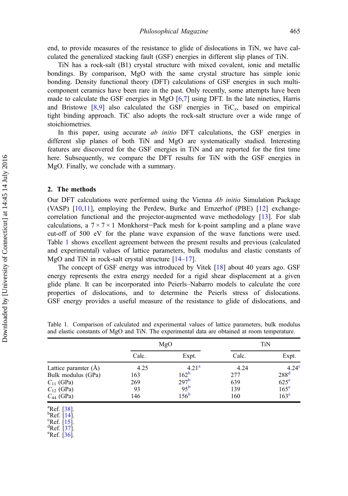end, to provide measures of the resistance to glide of dislocations in TiN, we have calculated the generalized stacking fault (GSF) energies in different slip planes of TiN.

TiN has a rock-salt (B1) crystal structure with mixed covalent, ionic and metallic bondings. By comparison, MgO with the same crystal structure has simple ionic bonding. Density functional theory (DFT) calculations of GSF energies in such multicomponent ceramics have been rare in the past. Only recently, some attempts have been made to calculate the GSF energies in MgO  $[6,7]$  $[6,7]$  $[6,7]$  using DFT. In the late nineties, Harris and Bristowe  $[8,9]$  $[8,9]$  $[8,9]$  also calculated the GSF energies in TiC<sub>x</sub>, based on empirical tight binding approach. TiC also adopts the rock-salt structure over a wide range of stoichiometries.

In this paper, using accurate *ab initio* DFT calculations, the GSF energies in different slip planes of both TiN and MgO are systematically studied. Interesting features are discovered for the GSF energies in TiN and are reported for the first time here. Subsequently, we compare the DFT results for TiN with the GSF energies in MgO. Finally, we conclude with a summary.

#### 2. The methods

Our DFT calculations were performed using the Vienna Ab initio Simulation Package (VASP) [\[10](#page-11-0),[11](#page-11-0)], employing the Perdew, Burke and Ernzerhof (PBE) [[12\]](#page-11-0) exchangecorrelation functional and the projector-augmented wave methodology [\[13](#page-11-0)]. For slab calculations, a 7 × 7 × 1 Monkhorst−Pack mesh for k-point sampling and a plane wave cut-off of 500 eV for the plane wave expansion of the wave functions were used. Table 1 shows excellent agreement between the present results and previous (calculated and experimental) values of lattice parameters, bulk modulus and elastic constants of MgO and TiN in rock-salt crystal structure  $[14-17]$  $[14-17]$  $[14-17]$  $[14-17]$ .

The concept of GSF energy was introduced by Vitek [[18\]](#page-11-0) about 40 years ago. GSF energy represents the extra energy needed for a rigid shear displacement at a given glide plane. It can be incorporated into Peierls–Nabarro models to calculate the core properties of dislocations, and to determine the Peierls stress of dislocations. GSF energy provides a useful measure of the resistance to glide of dislocations, and

|                      | MgO   |                  | TiN   |                   |
|----------------------|-------|------------------|-------|-------------------|
|                      | Calc. | Expt.            | Calc. | Expt.             |
| Lattice paramter (Å) | 4.25  | $4.21^{a}$       | 4.24  | 4.24 <sup>c</sup> |
| Bulk modulus (GPa)   | 163   | 162 <sup>b</sup> | 277   | 288 <sup>d</sup>  |
| $C_{11}$ (GPa)       | 269   | 297 <sup>b</sup> | 639   | $625^{\circ}$     |
| $C_{12}$ (GPa)       | 93    | 95 <sup>b</sup>  | 139   | 165 <sup>e</sup>  |
| $C_{44}$ (GPa)       | 146   | 156 <sup>b</sup> | 160   | 163 <sup>e</sup>  |

Table 1. Comparison of calculated and experimental values of lattice parameters, bulk modulus and elastic constants of MgO and TiN. The experimental data are obtained at room temperature.

 ${}^{a}$ Ref. [\[38](#page-12-0)].

 ${}^{b}$ Ref. [[14\]](#page-11-0).

 $^{\circ}$ Ref. [\[15](#page-11-0)].

 ${}^{\text{d}}$ Ref. [[37\]](#page-12-0).

 $\text{°Ref.}$  [\[36](#page-12-0)].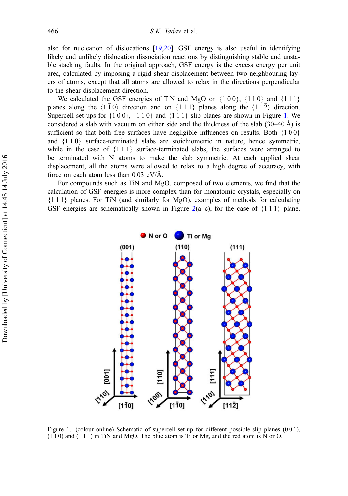also for nucleation of dislocations [[19,20](#page-11-0)]. GSF energy is also useful in identifying likely and unlikely dislocation dissociation reactions by distinguishing stable and unstable stacking faults. In the original approach, GSF energy is the excess energy per unit area, calculated by imposing a rigid shear displacement between two neighbouring layers of atoms, except that all atoms are allowed to relax in the directions perpendicular to the shear displacement direction.

We calculated the GSF energies of TiN and MgO on  $\{1\ 0\}$ ,  $\{1\ 1\ 0\}$  and  $\{1\ 1\ 1\}$ planes along the  $\langle 1 \overline{1} 0 \rangle$  direction and on  $\{1 \overline{1} 1\}$  planes along the  $\langle 1 \overline{1} 2 \rangle$  direction. Supercell set-ups for  $\{1\ 0\ 0\}$ ,  $\{1\ 1\ 0\}$  and  $\{1\ 1\ 1\}$  slip planes are shown in Figure 1. We considered a slab with vacuum on either side and the thickness of the slab  $(30-40 \text{ Å})$  is sufficient so that both free surfaces have negligible influences on results. Both  ${100}$ and {1 1 0} surface-terminated slabs are stoichiometric in nature, hence symmetric, while in the case of  $\{1\ 1\ 1\}$  surface-terminated slabs, the surfaces were arranged to be terminated with N atoms to make the slab symmetric. At each applied shear displacement, all the atoms were allowed to relax to a high degree of accuracy, with force on each atom less than  $0.03$  eV/Å.

For compounds such as TiN and MgO, composed of two elements, we find that the calculation of GSF energies is more complex than for monatomic crystals, especially on {1 1 1} planes. For TiN (and similarly for MgO), examples of methods for calculating GSF energies are schematically shown in Figure [2\(](#page-4-0)a–c), for the case of  $\{1\ 1\ 1\}$  plane.



Figure 1. (colour online) Schematic of supercell set-up for different possible slip planes (0 0 1), (1 1 0) and (1 1 1) in TiN and MgO. The blue atom is Ti or Mg, and the red atom is N or O.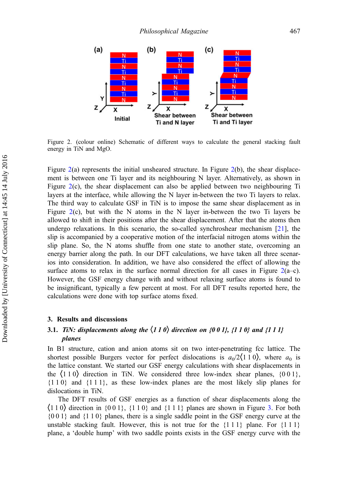<span id="page-4-0"></span>

Figure 2. (colour online) Schematic of different ways to calculate the general stacking fault energy in TiN and MgO.

Figure  $2(a)$  $2(a)$  represents the initial unsheared structure. In Figure  $2(b)$ , the shear displacement is between one Ti layer and its neighbouring N layer. Alternatively, as shown in Figure [2](#page-1-0)(c), the shear displacement can also be applied between two neighbouring Ti layers at the interface, while allowing the N layer in-between the two Ti layers to relax. The third way to calculate GSF in TiN is to impose the same shear displacement as in Figure [2](#page-1-0)(c), but with the N atoms in the N layer in-between the two Ti layers be allowed to shift in their positions after the shear displacement. After that the atoms then undergo relaxations. In this scenario, the so-called synchroshear mechanism [[21](#page-11-0)], the slip is accompanied by a cooperative motion of the interfacial nitrogen atoms within the slip plane. So, the N atoms shuffle from one state to another state, overcoming an energy barrier along the path. In our DFT calculations, we have taken all three scenarios into consideration. In addition, we have also considered the effect of allowing the surface atoms to relax in the surface normal direction for all cases in Figure  $2(a-c)$  $2(a-c)$ . However, the GSF energy change with and without relaxing surface atoms is found to be insignificant, typically a few percent at most. For all DFT results reported here, the calculations were done with top surface atoms fixed.

#### 3. Results and discussions

## 3.1. TiN: displacements along the  $\langle 110 \rangle$  direction on {0 0 1}, {1 1 0} and {1 1 1} planes

In B1 structure, cation and anion atoms sit on two inter-penetrating fcc lattice. The shortest possible Burgers vector for perfect dislocations is  $a_0/2(110)$ , where  $a_0$  is the lattice constant. We started our GSF energy calculations with shear displacements in the  $\langle 110 \rangle$  direction in TiN. We considered three low-index shear planes,  $\{001\}$ , {1 1 0} and {1 1 1}, as these low-index planes are the most likely slip planes for dislocations in TiN.

The DFT results of GSF energies as a function of shear displacements along the  $\langle 110 \rangle$  direction in  $\{001\}$ ,  $\{110\}$  and  $\{111\}$  planes are shown in Figure [3.](#page-5-0) For both {0 0 1} and {1 1 0} planes, there is a single saddle point in the GSF energy curve at the unstable stacking fault. However, this is not true for the  $\{1\ 1\ 1\}$  plane. For  $\{1\ 1\ 1\}$ plane, a 'double hump' with two saddle points exists in the GSF energy curve with the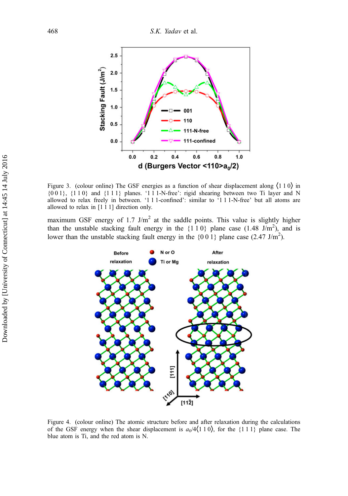<span id="page-5-0"></span>

Figure 3. (colour online) The GSF energies as a function of shear displacement along  $(110)$  in  $\{0\ 0\ 1\}$ ,  $\{1\ 1\ 0\}$  and  $\{1\ 1\ 1\}$  planes. '1 1 1-N-free': rigid shearing between two Ti layer and N allowed to relax freely in between. '1 1 1-confined': similar to '1 1 1-N-free' but all atoms are allowed to relax in [1 1 1] direction only.

maximum GSF energy of 1.7 J/m<sup>2</sup> at the saddle points. This value is slightly higher than the unstable stacking fault energy in the  $\{1\ 1\ 0\}$  plane case  $(1.48 \text{ J/m}^2)$ , and is lower than the unstable stacking fault energy in the  $\{0\ 0\ 1\}$  plane case (2.47 J/m<sup>2</sup>).



Figure 4. (colour online) The atomic structure before and after relaxation during the calculations of the GSF energy when the shear displacement is  $a_0/4(1\ 1\ 0)$ , for the {1 1 1} plane case. The blue atom is Ti, and the red atom is N.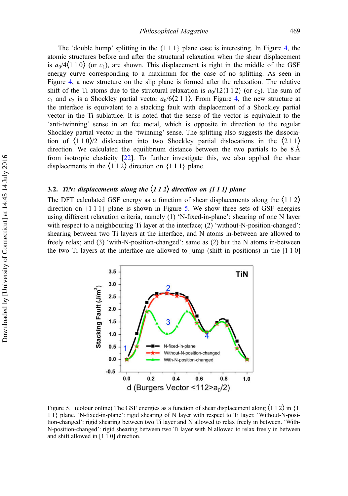<span id="page-6-0"></span>The 'double hump' splitting in the  $\{1\,1\,1\}$  plane case is interesting. In Figure [4,](#page-5-0) the atomic structures before and after the structural relaxation when the shear displacement is  $a_0/4(110)$  (or c<sub>1</sub>), are shown. This displacement is right in the middle of the GSF energy curve corresponding to a maximum for the case of no splitting. As seen in Figure [4](#page-5-0), a new structure on the slip plane is formed after the relaxation. The relative shift of the Ti atoms due to the structural relaxation is  $a_0/12\langle 1 \overline{1} 2 \rangle$  (or  $c_2$ ). The sum of  $c_1$  and  $c_2$  is a Shockley partial vector  $a_0/6\langle 211 \rangle$ . From Figure [4](#page-5-0), the new structure at the interface is equivalent to a stacking fault with displacement of a Shockley partial vector in the Ti sublattice. It is noted that the sense of the vector is equivalent to the 'anti-twinning' sense in an fcc metal, which is opposite in direction to the regular Shockley partial vector in the 'twinning' sense. The splitting also suggests the dissociation of  $\langle 110 \rangle$ /2 dislocation into two Shockley partial dislocations in the  $\langle 211 \rangle$ direction. We calculated the equilibrium distance between the two partials to be  $8 \text{\AA}$ from isotropic elasticity [[22\]](#page-11-0). To further investigate this, we also applied the shear displacements in the  $\langle 1 1 2 \rangle$  direction on  $\{1 1 1\}$  plane.

## 3.2. TiN: displacements along the  $\langle 112 \rangle$  direction on  $\{111\}$  plane

The DFT calculated GSF energy as a function of shear displacements along the  $(112)$ direction on  $\{1\ 1\ \}$  plane is shown in Figure 5. We show three sets of GSF energies using different relaxation criteria, namely (1) 'N-fixed-in-plane': shearing of one N layer with respect to a neighbouring Ti layer at the interface; (2) 'without-N-position-changed': shearing between two Ti layers at the interface, and N atoms in-between are allowed to freely relax; and (3) 'with-N-position-changed': same as (2) but the N atoms in-between the two Ti layers at the interface are allowed to jump (shift in positions) in the [1 1 0]



Figure 5. (colour online) The GSF energies as a function of shear displacement along  $(1\ 1\ 2)$  in  $\{1\$ 1 1} plane. 'N-fixed-in-plane': rigid shearing of N layer with respect to Ti layer. 'Without-N-position-changed': rigid shearing between two Ti layer and N allowed to relax freely in between. 'With-N-position-changed': rigid shearing between two Ti layer with N allowed to relax freely in between and shift allowed in [1 1 0] direction.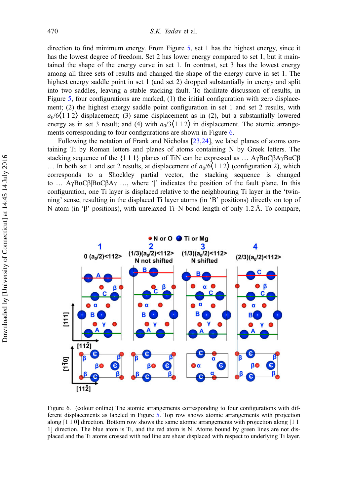<span id="page-7-0"></span>direction to find minimum energy. From Figure [5](#page-6-0), set 1 has the highest energy, since it has the lowest degree of freedom. Set 2 has lower energy compared to set 1, but it maintained the shape of the energy curve in set 1. In contrast, set 3 has the lowest energy among all three sets of results and changed the shape of the energy curve in set 1. The highest energy saddle point in set 1 (and set 2) dropped substantially in energy and split into two saddles, leaving a stable stacking fault. To facilitate discussion of results, in Figure [5](#page-6-0), four configurations are marked, (1) the initial configuration with zero displacement; (2) the highest energy saddle point configuration in set 1 and set 2 results, with  $a_0/6(1\ 1\ 2)$  displacement; (3) same displacement as in (2), but a substantially lowered energy as in set 3 result; and (4) with  $a_0/3(112)$  in displacement. The atomic arrangements corresponding to four configurations are shown in Figure 6.

Following the notation of Frank and Nicholas [[23,24\]](#page-11-0), we label planes of atoms containing Ti by Roman letters and planes of atoms containing N by Greek letters. The stacking sequence of the  $\{1\ 1\ 1\}$  planes of TiN can be expressed as ... AγBαCβAγBαCβ ... In both set 1 and set 2 results, at displacement of  $a_0/6(1\ 1\ 2)$  (configuration 2), which corresponds to a Shockley partial vector, the stacking sequence is changed to … AγBαCβ|BαCβAγ …, where '|' indicates the position of the fault plane. In this configuration, one Ti layer is displaced relative to the neighbouring Ti layer in the 'twinning' sense, resulting in the displaced Ti layer atoms (in 'B' positions) directly on top of N atom (in 'β' positions), with unrelaxed Ti–N bond length of only 1.2 Å. To compare,



Figure 6. (colour online) The atomic arrangements corresponding to four configurations with different displacements as labeled in Figure [5](#page-6-0). Top row shows atomic arrangements with projection along [1 1 0] direction. Bottom row shows the same atomic arrangements with projection along [1 1 1] direction. The blue atom is Ti, and the red atom is N. Atoms bound by green lines are not displaced and the Ti atoms crossed with red line are shear displaced with respect to underlying Ti layer.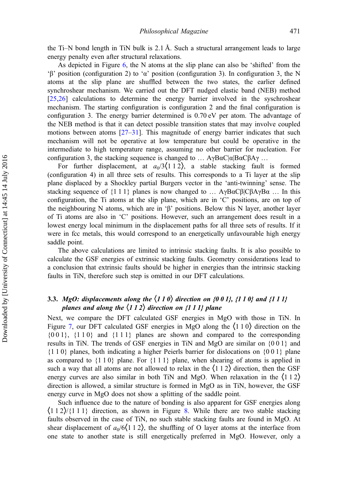the Ti–N bond length in TiN bulk is 2.1 Å. Such a structural arrangement leads to large energy penalty even after structural relaxations.

As depicted in Figure [6,](#page-7-0) the N atoms at the slip plane can also be 'shifted' from the 'β' position (configuration 2) to 'α' position (configuration 3). In configuration 3, the N atoms at the slip plane are shuffled between the two states, the earlier defined synchroshear mechanism. We carried out the DFT nudged elastic band (NEB) method [[25,26\]](#page-11-0) calculations to determine the energy barrier involved in the syschroshear mechanism. The starting configuration is configuration 2 and the final configuration is configuration 3. The energy barrier determined is 0.70 eV per atom. The advantage of the NEB method is that it can detect possible transition states that may involve coupled motions between atoms  $[27-31]$  $[27-31]$  $[27-31]$  $[27-31]$ . This magnitude of energy barrier indicates that such mechanism will not be operative at low temperature but could be operative in the intermediate to high temperature range, assuming no other barrier for nucleation. For configuration 3, the stacking sequence is changed to ...  $AγBαC|α|BaCβAγ$  ...

For further displacement, at  $a_0/3(112)$ , a stable stacking fault is formed (configuration 4) in all three sets of results. This corresponds to a Ti layer at the slip plane displaced by a Shockley partial Burgers vector in the 'anti-twinning' sense. The stacking sequence of  $\{1\ 1\ 1\}$  planes is now changed to ... AγBαCβ|CβAγBα ... In this configuration, the Ti atoms at the slip plane, which are in 'C' positions, are on top of the neighbouring N atoms, which are in 'β' positions. Below this N layer, another layer of Ti atoms are also in 'C' positions. However, such an arrangement does result in a lowest energy local minimum in the displacement paths for all three sets of results. If it were in fcc metals, this would correspond to an energetically unfavourable high energy saddle point.

The above calculations are limited to intrinsic stacking faults. It is also possible to calculate the GSF energies of extrinsic stacking faults. Geometry considerations lead to a conclusion that extrinsic faults should be higher in energies than the intrinsic stacking faults in TiN, therefore such step is omitted in our DFT calculations.

## 3.3. MgO: displacements along the  $\langle 110 \rangle$  direction on {0 0 1}, {1 1 0} and {1 1 1} planes and along the  $\langle 112 \rangle$  direction on  $\{111\}$  plane

Next, we compare the DFT calculated GSF energies in MgO with those in TiN. In Figure [7](#page-9-0), our DFT calculated GSF energies in MgO along the  $\langle 1 1 0 \rangle$  direction on the  ${001}$ ,  ${110}$  and  ${111}$  planes are shown and compared to the corresponding results in TiN. The trends of GSF energies in TiN and MgO are similar on {0 0 1} and {1 1 0} planes, both indicating a higher Peierls barrier for dislocations on {0 0 1} plane as compared to  $\{1\ 1\ 0\}$  plane. For  $\{1\ 1\ 1\}$  plane, when shearing of atoms is applied in such a way that all atoms are not allowed to relax in the  $(112)$  direction, then the GSF energy curves are also similar in both TiN and MgO. When relaxation in the  $\langle 112 \rangle$ direction is allowed, a similar structure is formed in MgO as in TiN, however, the GSF energy curve in MgO does not show a splitting of the saddle point.

Such influence due to the nature of bonding is also apparent for GSF energies along  $\{1\ 1\ 2\}/\{1\ 1\}$  direction, as shown in Figure [8](#page-9-0). While there are two stable stacking faults observed in the case of TiN, no such stable stacking faults are found in MgO. At shear displacement of  $a_0/6(112)$ , the shuffling of O layer atoms at the interface from one state to another state is still energetically preferred in MgO. However, only a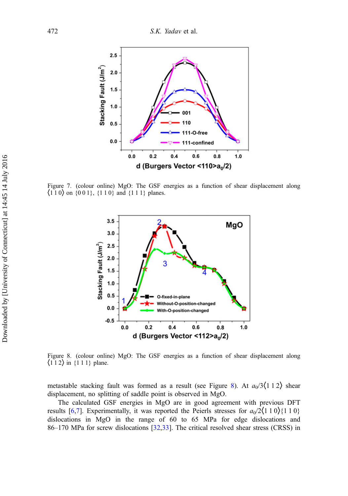<span id="page-9-0"></span>

Figure 7. (colour online) MgO: The GSF energies as a function of shear displacement along  $\{110\}$  on  $\{001\}$ ,  $\{110\}$  and  $\{111\}$  planes.



Figure 8. (colour online) MgO: The GSF energies as a function of shear displacement along  $\langle 112 \rangle$  in  $\{111\}$  plane.

metastable stacking fault was formed as a result (see Figure 8). At  $a_0/3\langle 1\ 1\ 2 \rangle$  shear displacement, no splitting of saddle point is observed in MgO.

The calculated GSF energies in MgO are in good agreement with previous DFT results [[6,7\]](#page-11-0). Experimentally, it was reported the Peierls stresses for  $a_0/2(110)\{110\}$ dislocations in MgO in the range of 60 to 65 MPa for edge dislocations and 86–170 MPa for screw dislocations [\[32](#page-11-0),[33\]](#page-11-0). The critical resolved shear stress (CRSS) in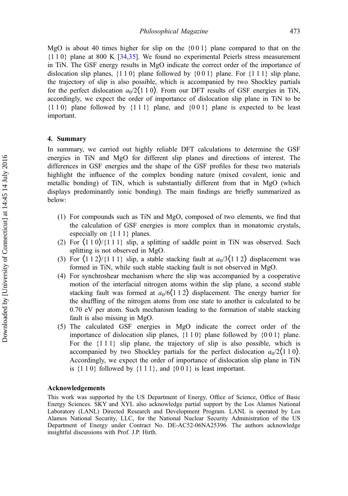MgO is about 40 times higher for slip on the  $\{0\,0\,1\}$  plane compared to that on the {1 1 0} plane at 800 K [[34,35](#page-11-0)]. We found no experimental Peierls stress measurement in TiN. The GSF energy results in MgO indicate the correct order of the importance of dislocation slip planes,  $\{1\ 1\ 0\}$  plane followed by  $\{0\ 0\ 1\}$  plane. For  $\{1\ 1\}$  slip plane, the trajectory of slip is also possible, which is accompanied by two Shockley partials for the perfect dislocation  $a_0/2(110)$ . From our DFT results of GSF energies in TiN, accordingly, we expect the order of importance of dislocation slip plane in TiN to be  ${110}$  plane followed by  ${111}$  plane, and  ${001}$  plane is expected to be least important.

#### 4. Summary

In summary, we carried out highly reliable DFT calculations to determine the GSF energies in TiN and MgO for different slip planes and directions of interest. The differences in GSF energies and the shape of the GSF profiles for these two materials highlight the influence of the complex bonding nature (mixed covalent, ionic and metallic bonding) of TiN, which is substantially different from that in MgO (which displays predominantly ionic bonding). The main findings are briefly summarized as below:

- (1) For compounds such as TiN and MgO, composed of two elements, we find that the calculation of GSF energies is more complex than in monatomic crystals, especially on {1 1 1} planes.
- (2) For  $\langle 110 \rangle / \langle 111 \rangle$  slip, a splitting of saddle point in TiN was observed. Such splitting is not observed in MgO.
- (3) For  $\langle 112 \rangle / \langle 111 \rangle$  slip, a stable stacking fault at  $a_0/3 \langle 112 \rangle$  displacement was formed in TiN, while such stable stacking fault is not observed in MgO.
- (4) For synchroshear mechanism where the slip was accompanied by a cooperative motion of the interfacial nitrogen atoms within the slip plane, a second stable stacking fault was formed at  $a_0/6(112)$  displacement. The energy barrier for the shuffling of the nitrogen atoms from one state to another is calculated to be 0.70 eV per atom. Such mechanism leading to the formation of stable stacking fault is also missing in MgO.
- (5) The calculated GSF energies in MgO indicate the correct order of the importance of dislocation slip planes, {1 1 0} plane followed by {0 0 1} plane. For the {1 1 1} slip plane, the trajectory of slip is also possible, which is accompanied by two Shockley partials for the perfect dislocation  $a_0/2(110)$ . Accordingly, we expect the order of importance of dislocation slip plane in TiN is  $\{1\ 1\ 0\}$  followed by  $\{1\ 1\ 1\}$ , and  $\{0\ 0\ 1\}$  is least important.

#### Acknowledgements

This work was supported by the US Department of Energy, Office of Science, Office of Basic Energy Sciences. SKY and XYL also acknowledge partial support by the Los Alamos National Laboratory (LANL) Directed Research and Development Program. LANL is operated by Los Alamos National Security, LLC, for the National Nuclear Security Administration of the US Department of Energy under Contract No. DE-AC52-06NA25396. The authors acknowledge insightful discussions with Prof. J.P. Hirth.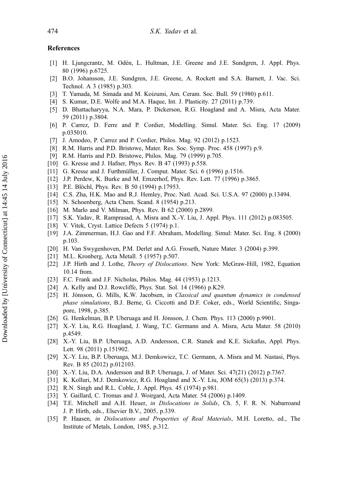## <span id="page-11-0"></span>References

- [1] H. Ljungcrantz, M. Odén, L. Hultman, J.E. Greene and J.E. Sundgren, J. Appl. Phys. 80 (1996) p.6725.
- [2] B.O. Johansson, J.E. Sundgren, J.E. Greene, A. Rockett and S.A. Barnett, J. Vac. Sci. Technol. A 3 (1985) p.303.
- [3] T. Yamada, M. Simada and M. Koizumi, Am. Ceram. Soc. Bull. 59 (1980) p.611.
- [4] S. Kumar, D.E. Wolfe and M.A. Haque, Int. J. Plasticity. 27 (2011) p.739.
- [5] D. Bhattacharyya, N.A. Mara, P. Dickerson, R.G. Hoagland and A. Misra, Acta Mater. 59 (2011) p.3804.
- [6] P. Carrez, D. Ferre and P. Cordier, Modelling. Simul. Mater. Sci. Eng. 17 (2009) p.035010.
- [7] J. Amodeo, P. Carrez and P. Cordier, Philos. Mag. 92 (2012) p.1523.
- [8] R.M. Harris and P.D. Bristowe, Mater. Res. Soc. Symp. Proc. 458 (1997) p.9.
- [9] R.M. Harris and P.D. Bristowe, Philos. Mag. 79 (1999) p.705.
- [10] G. Kresse and J. Hafner, Phys. Rev. B 47 (1993) p.558.
- [11] G. Kresse and J. Furthmüller, J. Comput. Mater. Sci. 6 (1996) p.1516.
- [12] J.P. Perdew, K. Burke and M. Ernzerhof, Phys. Rev. Lett. 77 (1996) p.3865.
- [13] P.E. Blöchl, Phys. Rev. B 50 (1994) p.17953.
- [14] C.S. Zha, H.K. Mao and R.J. Hemley, Proc. Natl. Acad. Sci. U.S.A. 97 (2000) p.13494.
- [15] N. Schoenberg, Acta Chem. Scand. 8 (1954) p.213.
- [16] M. Marlo and V. Milman, Phys. Rev. B 62 (2000) p.2899.
- [17] S.K. Yadav, R. Ramprasad, A. Misra and X.-Y. Liu, J. Appl. Phys. 111 (2012) p.083505.
- [18] V. Vitek, Cryst. Lattice Defects 5 (1974) p.1.
- [19] J.A. Zimmerman, H.J. Gao and F.F. Abraham, Modelling. Simul: Mater. Sci. Eng. 8 (2000) p.103.
- [20] H. Van Swygenhoven, P.M. Derlet and A.G. Froseth, Nature Mater. 3 (2004) p.399.
- [21] M.L. Kronberg, Acta Metall. 5 (1957) p.507.
- [22] J.P. Hirth and J. Lothe, Theory of Dislocations. New York: McGraw-Hill, 1982, Equation 10.14 from.
- [23] F.C. Frank and J.F. Nicholas, Philos. Mag. 44 (1953) p.1213.
- [24] A. Kelly and D.J. Rowcliffe, Phys. Stat. Sol. 14 (1966) p.K29.
- [25] H. Jónsson, G. Mills, K.W. Jacobsen, in Classical and quantum dynamics in condensed phase simulations, B.J. Berne, G. Ciccotti and D.F. Coker, eds., World Scientific, Singapore, 1998, p.385.
- [26] G. Henkelman, B.P. Uberuaga and H. Jónsson, J. Chem. Phys. 113 (2000) p.9901.
- [27] X.-Y. Liu, R.G. Hoagland, J. Wang, T.C. Germann and A. Misra, Acta Mater. 58 (2010) p.4549.
- [28] X.-Y. Liu, B.P. Uberuaga, A.D. Andersson, C.R. Stanek and K.E. Sickafus, Appl. Phys. Lett. 98 (2011) p.151902.
- [29] X.-Y. Liu, B.P. Uberuaga, M.J. Demkowicz, T.C. Germann, A. Misra and M. Nastasi, Phys. Rev. B 85 (2012) p.012103.
- [30] X.-Y. Liu, D.A. Andersson and B.P. Uberuaga, J. of Mater. Sci. 47(21) (2012) p.7367.
- [31] K. Kolluri, M.J. Demkowicz, R.G. Hoagland and X.-Y. Liu, JOM 65(3) (2013) p.374.
- [32] R.N. Singh and R.L. Coble, J. Appl. Phys. 45 (1974) p.981.
- [33] Y. Gaillard, C. Tromas and J. Woirgard, Acta Mater. 54 (2006) p.1409.
- [34] T.E. Mitchell and A.H. Heuer, in Dislocations in Solids, Ch. 5, F. R. N. Nabarroand J. P. Hirth, eds., Elsevier B.V., 2005, p.339.
- [35] P. Haasen, in Dislocations and Properties of Real Materials, M.H. Loretto, ed., The Institute of Metals, London, 1985, p.312.